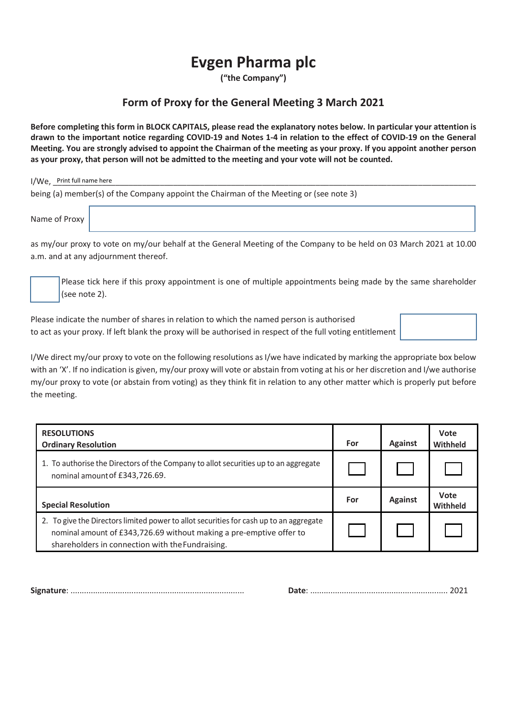## **Evgen Pharma plc**

**("the Company")**

## **Form of Proxy for the General Meeting 3 March 2021**

**Before completing this form in BLOCK CAPITALS, please read the explanatory notes below. In particular your attention is drawn to the important notice regarding COVID-19 and Notes 1-4 in relation to the effect of COVID-19 on the General Meeting. You are strongly advised to appoint the Chairman of the meeting as your proxy. If you appoint another person as your proxy, that person will not be admitted to the meeting and your vote will not be counted.** 

Print full name here I/We, \_\_\_\_\_\_\_\_\_\_\_\_\_\_\_\_\_\_\_\_\_\_\_\_\_\_\_\_\_\_\_\_\_\_\_\_\_\_\_\_\_\_\_\_\_\_\_\_\_\_\_\_\_\_\_\_\_\_\_\_\_\_\_\_\_\_\_\_\_\_\_\_\_\_\_\_\_\_\_\_\_\_\_\_\_\_\_\_\_\_\_\_\_\_\_ being (a) member(s) of the Company appoint the Chairman of the Meeting or (see note 3)

Name of Proxy

as my/our proxy to vote on my/our behalf at the General Meeting of the Company to be held on 03 March 2021 at 10.00 a.m. and at any adjournment thereof.

Please tick here if this proxy appointment is one of multiple appointments being made by the same shareholder (see note 2).

Please indicate the number of shares in relation to which the named person is authorised to act as your proxy. If left blank the proxy will be authorised in respect of the full voting entitlement

I/We direct my/our proxy to vote on the following resolutions as I/we have indicated by marking the appropriate box below with an 'X'. If no indication is given, my/our proxy will vote or abstain from voting at his or her discretion and I/we authorise my/our proxy to vote (or abstain from voting) as they think fit in relation to any other matter which is properly put before the meeting.

| <b>RESOLUTIONS</b><br><b>Ordinary Resolution</b>                                                                                                                                                                  | For | <b>Against</b> | Vote<br>Withheld |
|-------------------------------------------------------------------------------------------------------------------------------------------------------------------------------------------------------------------|-----|----------------|------------------|
| 1. To authorise the Directors of the Company to allot securities up to an aggregate<br>nominal amount of £343,726.69.                                                                                             |     |                |                  |
| <b>Special Resolution</b>                                                                                                                                                                                         | For | <b>Against</b> | Vote<br>Withheld |
| 2. To give the Directors limited power to allot securities for cash up to an aggregate<br>nominal amount of £343,726.69 without making a pre-emptive offer to<br>shareholders in connection with the Fundraising. |     |                |                  |

**Signature**: ............................................................................. **Date**: ............................................................. 2021